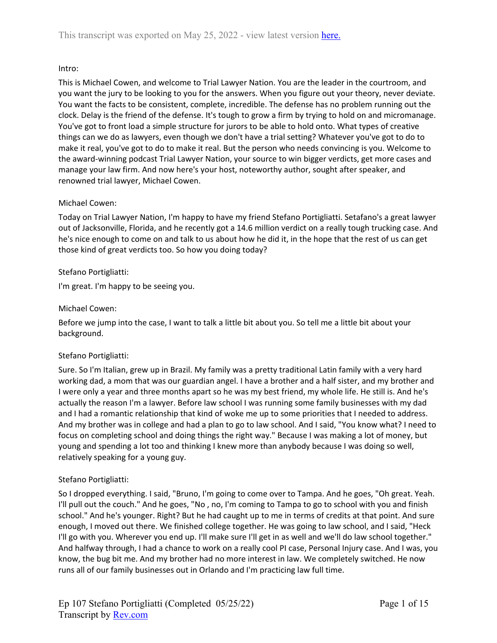# Intro:

This is Michael Cowen, and welcome to Trial Lawyer Nation. You are the leader in the courtroom, and you want the jury to be looking to you for the answers. When you figure out your theory, never deviate. You want the facts to be consistent, complete, incredible. The defense has no problem running out the clock. Delay is the friend of the defense. It's tough to grow a firm by trying to hold on and micromanage. You've got to front load a simple structure for jurors to be able to hold onto. What types of creative things can we do as lawyers, even though we don't have a trial setting? Whatever you've got to do to make it real, you've got to do to make it real. But the person who needs convincing is you. Welcome to the award-winning podcast Trial Lawyer Nation, your source to win bigger verdicts, get more cases and manage your law firm. And now here's your host, noteworthy author, sought after speaker, and renowned trial lawyer, Michael Cowen.

# Michael Cowen:

Today on Trial Lawyer Nation, I'm happy to have my friend Stefano Portigliatti. Setafano's a great lawyer out of Jacksonville, Florida, and he recently got a 14.6 million verdict on a really tough trucking case. And he's nice enough to come on and talk to us about how he did it, in the hope that the rest of us can get those kind of great verdicts too. So how you doing today?

# Stefano Portigliatti:

I'm great. I'm happy to be seeing you.

# Michael Cowen:

Before we jump into the case, I want to talk a little bit about you. So tell me a little bit about your background.

# Stefano Portigliatti:

Sure. So I'm Italian, grew up in Brazil. My family was a pretty traditional Latin family with a very hard working dad, a mom that was our guardian angel. I have a brother and a half sister, and my brother and I were only a year and three months apart so he was my best friend, my whole life. He still is. And he's actually the reason I'm a lawyer. Before law school I was running some family businesses with my dad and I had a romantic relationship that kind of woke me up to some priorities that I needed to address. And my brother was in college and had a plan to go to law school. And I said, "You know what? I need to focus on completing school and doing things the right way." Because I was making a lot of money, but young and spending a lot too and thinking I knew more than anybody because I was doing so well, relatively speaking for a young guy.

# Stefano Portigliatti:

So I dropped everything. I said, "Bruno, I'm going to come over to Tampa. And he goes, "Oh great. Yeah. I'll pull out the couch." And he goes, "No , no, I'm coming to Tampa to go to school with you and finish school." And he's younger. Right? But he had caught up to me in terms of credits at that point. And sure enough, I moved out there. We finished college together. He was going to law school, and I said, "Heck I'll go with you. Wherever you end up. I'll make sure I'll get in as well and we'll do law school together." And halfway through, I had a chance to work on a really cool PI case, Personal Injury case. And I was, you know, the bug bit me. And my brother had no more interest in law. We completely switched. He now runs all of our family businesses out in Orlando and I'm practicing law full time.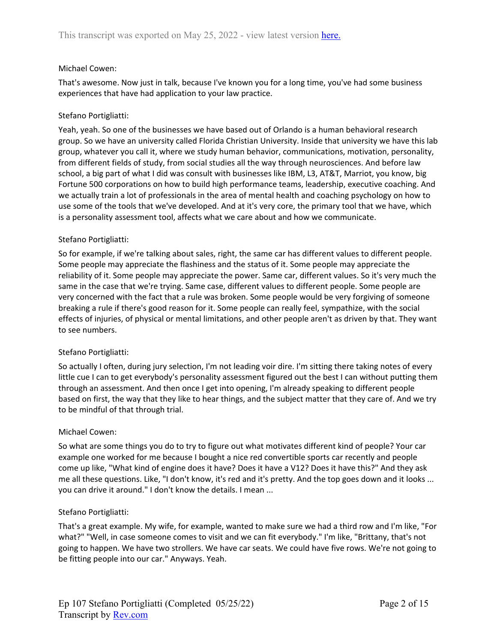## Michael Cowen:

That's awesome. Now just in talk, because I've known you for a long time, you've had some business experiences that have had application to your law practice.

## Stefano Portigliatti:

Yeah, yeah. So one of the businesses we have based out of Orlando is a human behavioral research group. So we have an university called Florida Christian University. Inside that university we have this lab group, whatever you call it, where we study human behavior, communications, motivation, personality, from different fields of study, from social studies all the way through neurosciences. And before law school, a big part of what I did was consult with businesses like IBM, L3, AT&T, Marriot, you know, big Fortune 500 corporations on how to build high performance teams, leadership, executive coaching. And we actually train a lot of professionals in the area of mental health and coaching psychology on how to use some of the tools that we've developed. And at it's very core, the primary tool that we have, which is a personality assessment tool, affects what we care about and how we communicate.

## Stefano Portigliatti:

So for example, if we're talking about sales, right, the same car has different values to different people. Some people may appreciate the flashiness and the status of it. Some people may appreciate the reliability of it. Some people may appreciate the power. Same car, different values. So it's very much the same in the case that we're trying. Same case, different values to different people. Some people are very concerned with the fact that a rule was broken. Some people would be very forgiving of someone breaking a rule if there's good reason for it. Some people can really feel, sympathize, with the social effects of injuries, of physical or mental limitations, and other people aren't as driven by that. They want to see numbers.

## Stefano Portigliatti:

So actually I often, during jury selection, I'm not leading voir dire. I'm sitting there taking notes of every little cue I can to get everybody's personality assessment figured out the best I can without putting them through an assessment. And then once I get into opening, I'm already speaking to different people based on first, the way that they like to hear things, and the subject matter that they care of. And we try to be mindful of that through trial.

## Michael Cowen:

So what are some things you do to try to figure out what motivates different kind of people? Your car example one worked for me because I bought a nice red convertible sports car recently and people come up like, "What kind of engine does it have? Does it have a V12? Does it have this?" And they ask me all these questions. Like, "I don't know, it's red and it's pretty. And the top goes down and it looks ... you can drive it around." I don't know the details. I mean ...

## Stefano Portigliatti:

That's a great example. My wife, for example, wanted to make sure we had a third row and I'm like, "For what?" "Well, in case someone comes to visit and we can fit everybody." I'm like, "Brittany, that's not going to happen. We have two strollers. We have car seats. We could have five rows. We're not going to be fitting people into our car." Anyways. Yeah.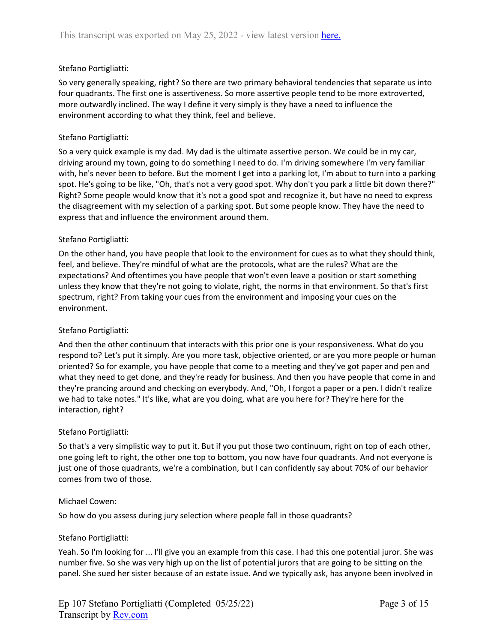## Stefano Portigliatti:

So very generally speaking, right? So there are two primary behavioral tendencies that separate us into four quadrants. The first one is assertiveness. So more assertive people tend to be more extroverted, more outwardly inclined. The way I define it very simply is they have a need to influence the environment according to what they think, feel and believe.

## Stefano Portigliatti:

So a very quick example is my dad. My dad is the ultimate assertive person. We could be in my car, driving around my town, going to do something I need to do. I'm driving somewhere I'm very familiar with, he's never been to before. But the moment I get into a parking lot, I'm about to turn into a parking spot. He's going to be like, "Oh, that's not a very good spot. Why don't you park a little bit down there?" Right? Some people would know that it's not a good spot and recognize it, but have no need to express the disagreement with my selection of a parking spot. But some people know. They have the need to express that and influence the environment around them.

## Stefano Portigliatti:

On the other hand, you have people that look to the environment for cues as to what they should think, feel, and believe. They're mindful of what are the protocols, what are the rules? What are the expectations? And oftentimes you have people that won't even leave a position or start something unless they know that they're not going to violate, right, the norms in that environment. So that's first spectrum, right? From taking your cues from the environment and imposing your cues on the environment.

# Stefano Portigliatti:

And then the other continuum that interacts with this prior one is your responsiveness. What do you respond to? Let's put it simply. Are you more task, objective oriented, or are you more people or human oriented? So for example, you have people that come to a meeting and they've got paper and pen and what they need to get done, and they're ready for business. And then you have people that come in and they're prancing around and checking on everybody. And, "Oh, I forgot a paper or a pen. I didn't realize we had to take notes." It's like, what are you doing, what are you here for? They're here for the interaction, right?

## Stefano Portigliatti:

So that's a very simplistic way to put it. But if you put those two continuum, right on top of each other, one going left to right, the other one top to bottom, you now have four quadrants. And not everyone is just one of those quadrants, we're a combination, but I can confidently say about 70% of our behavior comes from two of those.

## Michael Cowen:

So how do you assess during jury selection where people fall in those quadrants?

## Stefano Portigliatti:

Yeah. So I'm looking for ... I'll give you an example from this case. I had this one potential juror. She was number five. So she was very high up on the list of potential jurors that are going to be sitting on the panel. She sued her sister because of an estate issue. And we typically ask, has anyone been involved in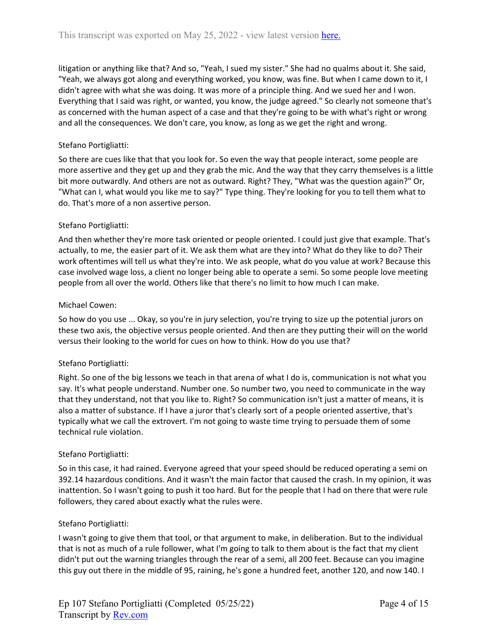litigation or anything like that? And so, "Yeah, I sued my sister." She had no qualms about it. She said, "Yeah, we always got along and everything worked, you know, was fine. But when I came down to it, I didn't agree with what she was doing. It was more of a principle thing. And we sued her and I won. Everything that I said was right, or wanted, you know, the judge agreed." So clearly not someone that's as concerned with the human aspect of a case and that they're going to be with what's right or wrong and all the consequences. We don't care, you know, as long as we get the right and wrong.

## Stefano Portigliatti:

So there are cues like that that you look for. So even the way that people interact, some people are more assertive and they get up and they grab the mic. And the way that they carry themselves is a little bit more outwardly. And others are not as outward. Right? They, "What was the question again?" Or, "What can I, what would you like me to say?" Type thing. They're looking for you to tell them what to do. That's more of a non assertive person.

## Stefano Portigliatti:

And then whether they're more task oriented or people oriented. I could just give that example. That's actually, to me, the easier part of it. We ask them what are they into? What do they like to do? Their work oftentimes will tell us what they're into. We ask people, what do you value at work? Because this case involved wage loss, a client no longer being able to operate a semi. So some people love meeting people from all over the world. Others like that there's no limit to how much I can make.

## Michael Cowen:

So how do you use ... Okay, so you're in jury selection, you're trying to size up the potential jurors on these two axis, the objective versus people oriented. And then are they putting their will on the world versus their looking to the world for cues on how to think. How do you use that?

## Stefano Portigliatti:

Right. So one of the big lessons we teach in that arena of what I do is, communication is not what you say. It's what people understand. Number one. So number two, you need to communicate in the way that they understand, not that you like to. Right? So communication isn't just a matter of means, it is also a matter of substance. If I have a juror that's clearly sort of a people oriented assertive, that's typically what we call the extrovert. I'm not going to waste time trying to persuade them of some technical rule violation.

## Stefano Portigliatti:

So in this case, it had rained. Everyone agreed that your speed should be reduced operating a semi on 392.14 hazardous conditions. And it wasn't the main factor that caused the crash. In my opinion, it was inattention. So I wasn't going to push it too hard. But for the people that I had on there that were rule followers, they cared about exactly what the rules were.

## Stefano Portigliatti:

I wasn't going to give them that tool, or that argument to make, in deliberation. But to the individual that is not as much of a rule follower, what I'm going to talk to them about is the fact that my client didn't put out the warning triangles through the rear of a semi, all 200 feet. Because can you imagine this guy out there in the middle of 95, raining, he's gone a hundred feet, another 120, and now 140. I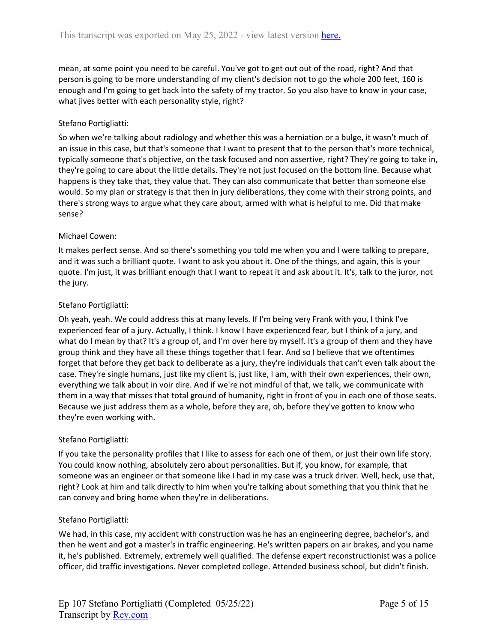mean, at some point you need to be careful. You've got to get out out of the road, right? And that person is going to be more understanding of my client's decision not to go the whole 200 feet, 160 is enough and I'm going to get back into the safety of my tractor. So you also have to know in your case, what jives better with each personality style, right?

# Stefano Portigliatti:

So when we're talking about radiology and whether this was a herniation or a bulge, it wasn't much of an issue in this case, but that's someone that I want to present that to the person that's more technical, typically someone that's objective, on the task focused and non assertive, right? They're going to take in, they're going to care about the little details. They're not just focused on the bottom line. Because what happens is they take that, they value that. They can also communicate that better than someone else would. So my plan or strategy is that then in jury deliberations, they come with their strong points, and there's strong ways to argue what they care about, armed with what is helpful to me. Did that make sense?

## Michael Cowen:

It makes perfect sense. And so there's something you told me when you and I were talking to prepare, and it was such a brilliant quote. I want to ask you about it. One of the things, and again, this is your quote. I'm just, it was brilliant enough that I want to repeat it and ask about it. It's, talk to the juror, not the jury.

## Stefano Portigliatti:

Oh yeah, yeah. We could address this at many levels. If I'm being very Frank with you, I think I've experienced fear of a jury. Actually, I think. I know I have experienced fear, but I think of a jury, and what do I mean by that? It's a group of, and I'm over here by myself. It's a group of them and they have group think and they have all these things together that I fear. And so I believe that we oftentimes forget that before they get back to deliberate as a jury, they're individuals that can't even talk about the case. They're single humans, just like my client is, just like, I am, with their own experiences, their own, everything we talk about in voir dire. And if we're not mindful of that, we talk, we communicate with them in a way that misses that total ground of humanity, right in front of you in each one of those seats. Because we just address them as a whole, before they are, oh, before they've gotten to know who they're even working with.

## Stefano Portigliatti:

If you take the personality profiles that I like to assess for each one of them, or just their own life story. You could know nothing, absolutely zero about personalities. But if, you know, for example, that someone was an engineer or that someone like I had in my case was a truck driver. Well, heck, use that, right? Look at him and talk directly to him when you're talking about something that you think that he can convey and bring home when they're in deliberations.

## Stefano Portigliatti:

We had, in this case, my accident with construction was he has an engineering degree, bachelor's, and then he went and got a master's in traffic engineering. He's written papers on air brakes, and you name it, he's published. Extremely, extremely well qualified. The defense expert reconstructionist was a police officer, did traffic investigations. Never completed college. Attended business school, but didn't finish.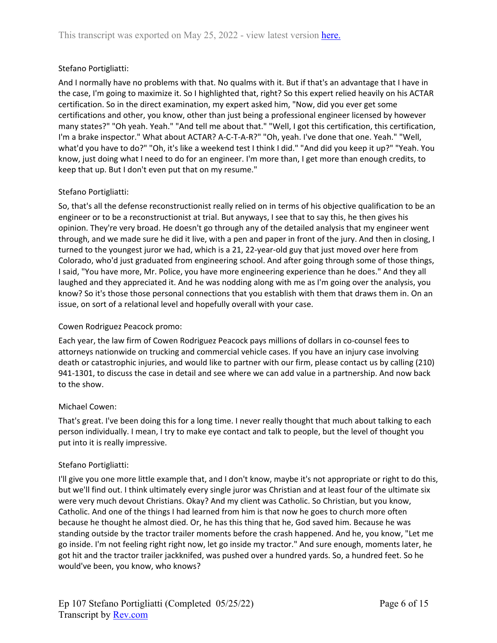# Stefano Portigliatti:

And I normally have no problems with that. No qualms with it. But if that's an advantage that I have in the case, I'm going to maximize it. So I highlighted that, right? So this expert relied heavily on his ACTAR certification. So in the direct examination, my expert asked him, "Now, did you ever get some certifications and other, you know, other than just being a professional engineer licensed by however many states?" "Oh yeah. Yeah." "And tell me about that." "Well, I got this certification, this certification, I'm a brake inspector." What about ACTAR? A-C-T-A-R?" "Oh, yeah. I've done that one. Yeah." "Well, what'd you have to do?" "Oh, it's like a weekend test I think I did." "And did you keep it up?" "Yeah. You know, just doing what I need to do for an engineer. I'm more than, I get more than enough credits, to keep that up. But I don't even put that on my resume."

# Stefano Portigliatti:

So, that's all the defense reconstructionist really relied on in terms of his objective qualification to be an engineer or to be a reconstructionist at trial. But anyways, I see that to say this, he then gives his opinion. They're very broad. He doesn't go through any of the detailed analysis that my engineer went through, and we made sure he did it live, with a pen and paper in front of the jury. And then in closing, I turned to the youngest juror we had, which is a 21, 22-year-old guy that just moved over here from Colorado, who'd just graduated from engineering school. And after going through some of those things, I said, "You have more, Mr. Police, you have more engineering experience than he does." And they all laughed and they appreciated it. And he was nodding along with me as I'm going over the analysis, you know? So it's those those personal connections that you establish with them that draws them in. On an issue, on sort of a relational level and hopefully overall with your case.

# Cowen Rodriguez Peacock promo:

Each year, the law firm of Cowen Rodriguez Peacock pays millions of dollars in co-counsel fees to attorneys nationwide on trucking and commercial vehicle cases. If you have an injury case involving death or catastrophic injuries, and would like to partner with our firm, please contact us by calling (210) 941-1301, to discuss the case in detail and see where we can add value in a partnership. And now back to the show.

# Michael Cowen:

That's great. I've been doing this for a long time. I never really thought that much about talking to each person individually. I mean, I try to make eye contact and talk to people, but the level of thought you put into it is really impressive.

# Stefano Portigliatti:

I'll give you one more little example that, and I don't know, maybe it's not appropriate or right to do this, but we'll find out. I think ultimately every single juror was Christian and at least four of the ultimate six were very much devout Christians. Okay? And my client was Catholic. So Christian, but you know, Catholic. And one of the things I had learned from him is that now he goes to church more often because he thought he almost died. Or, he has this thing that he, God saved him. Because he was standing outside by the tractor trailer moments before the crash happened. And he, you know, "Let me go inside. I'm not feeling right right now, let go inside my tractor." And sure enough, moments later, he got hit and the tractor trailer jackknifed, was pushed over a hundred yards. So, a hundred feet. So he would've been, you know, who knows?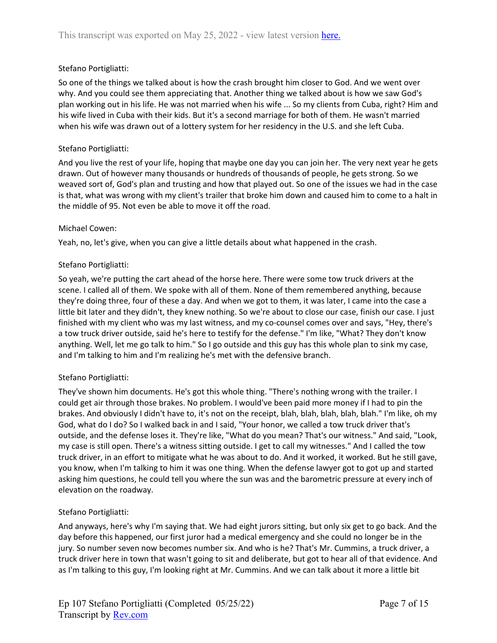# Stefano Portigliatti:

So one of the things we talked about is how the crash brought him closer to God. And we went over why. And you could see them appreciating that. Another thing we talked about is how we saw God's plan working out in his life. He was not married when his wife ... So my clients from Cuba, right? Him and his wife lived in Cuba with their kids. But it's a second marriage for both of them. He wasn't married when his wife was drawn out of a lottery system for her residency in the U.S. and she left Cuba.

## Stefano Portigliatti:

And you live the rest of your life, hoping that maybe one day you can join her. The very next year he gets drawn. Out of however many thousands or hundreds of thousands of people, he gets strong. So we weaved sort of, God's plan and trusting and how that played out. So one of the issues we had in the case is that, what was wrong with my client's trailer that broke him down and caused him to come to a halt in the middle of 95. Not even be able to move it off the road.

## Michael Cowen:

Yeah, no, let's give, when you can give a little details about what happened in the crash.

## Stefano Portigliatti:

So yeah, we're putting the cart ahead of the horse here. There were some tow truck drivers at the scene. I called all of them. We spoke with all of them. None of them remembered anything, because they're doing three, four of these a day. And when we got to them, it was later, I came into the case a little bit later and they didn't, they knew nothing. So we're about to close our case, finish our case. I just finished with my client who was my last witness, and my co-counsel comes over and says, "Hey, there's a tow truck driver outside, said he's here to testify for the defense." I'm like, "What? They don't know anything. Well, let me go talk to him." So I go outside and this guy has this whole plan to sink my case, and I'm talking to him and I'm realizing he's met with the defensive branch.

# Stefano Portigliatti:

They've shown him documents. He's got this whole thing. "There's nothing wrong with the trailer. I could get air through those brakes. No problem. I would've been paid more money if I had to pin the brakes. And obviously I didn't have to, it's not on the receipt, blah, blah, blah, blah, blah." I'm like, oh my God, what do I do? So I walked back in and I said, "Your honor, we called a tow truck driver that's outside, and the defense loses it. They're like, "What do you mean? That's our witness." And said, "Look, my case is still open. There's a witness sitting outside. I get to call my witnesses." And I called the tow truck driver, in an effort to mitigate what he was about to do. And it worked, it worked. But he still gave, you know, when I'm talking to him it was one thing. When the defense lawyer got to got up and started asking him questions, he could tell you where the sun was and the barometric pressure at every inch of elevation on the roadway.

## Stefano Portigliatti:

And anyways, here's why I'm saying that. We had eight jurors sitting, but only six get to go back. And the day before this happened, our first juror had a medical emergency and she could no longer be in the jury. So number seven now becomes number six. And who is he? That's Mr. Cummins, a truck driver, a truck driver here in town that wasn't going to sit and deliberate, but got to hear all of that evidence. And as I'm talking to this guy, I'm looking right at Mr. Cummins. And we can talk about it more a little bit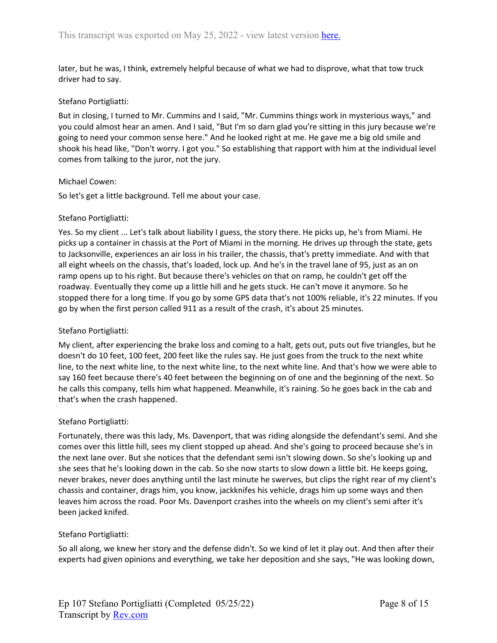later, but he was, I think, extremely helpful because of what we had to disprove, what that tow truck driver had to say.

#### Stefano Portigliatti:

But in closing, I turned to Mr. Cummins and I said, "Mr. Cummins things work in mysterious ways," and you could almost hear an amen. And I said, "But I'm so darn glad you're sitting in this jury because we're going to need your common sense here." And he looked right at me. He gave me a big old smile and shook his head like, "Don't worry. I got you." So establishing that rapport with him at the individual level comes from talking to the juror, not the jury.

#### Michael Cowen:

So let's get a little background. Tell me about your case.

#### Stefano Portigliatti:

Yes. So my client ... Let's talk about liability I guess, the story there. He picks up, he's from Miami. He picks up a container in chassis at the Port of Miami in the morning. He drives up through the state, gets to Jacksonville, experiences an air loss in his trailer, the chassis, that's pretty immediate. And with that all eight wheels on the chassis, that's loaded, lock up. And he's in the travel lane of 95, just as an on ramp opens up to his right. But because there's vehicles on that on ramp, he couldn't get off the roadway. Eventually they come up a little hill and he gets stuck. He can't move it anymore. So he stopped there for a long time. If you go by some GPS data that's not 100% reliable, it's 22 minutes. If you go by when the first person called 911 as a result of the crash, it's about 25 minutes.

## Stefano Portigliatti:

My client, after experiencing the brake loss and coming to a halt, gets out, puts out five triangles, but he doesn't do 10 feet, 100 feet, 200 feet like the rules say. He just goes from the truck to the next white line, to the next white line, to the next white line, to the next white line. And that's how we were able to say 160 feet because there's 40 feet between the beginning on of one and the beginning of the next. So he calls this company, tells him what happened. Meanwhile, it's raining. So he goes back in the cab and that's when the crash happened.

## Stefano Portigliatti:

Fortunately, there was this lady, Ms. Davenport, that was riding alongside the defendant's semi. And she comes over this little hill, sees my client stopped up ahead. And she's going to proceed because she's in the next lane over. But she notices that the defendant semi isn't slowing down. So she's looking up and she sees that he's looking down in the cab. So she now starts to slow down a little bit. He keeps going, never brakes, never does anything until the last minute he swerves, but clips the right rear of my client's chassis and container, drags him, you know, jackknifes his vehicle, drags him up some ways and then leaves him across the road. Poor Ms. Davenport crashes into the wheels on my client's semi after it's been jacked knifed.

## Stefano Portigliatti:

So all along, we knew her story and the defense didn't. So we kind of let it play out. And then after their experts had given opinions and everything, we take her deposition and she says, "He was looking down,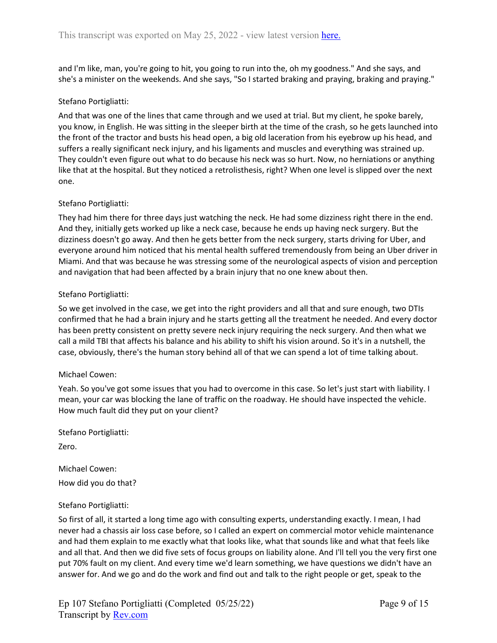and I'm like, man, you're going to hit, you going to run into the, oh my goodness." And she says, and she's a minister on the weekends. And she says, "So I started braking and praying, braking and praying."

## Stefano Portigliatti:

And that was one of the lines that came through and we used at trial. But my client, he spoke barely, you know, in English. He was sitting in the sleeper birth at the time of the crash, so he gets launched into the front of the tractor and busts his head open, a big old laceration from his eyebrow up his head, and suffers a really significant neck injury, and his ligaments and muscles and everything was strained up. They couldn't even figure out what to do because his neck was so hurt. Now, no herniations or anything like that at the hospital. But they noticed a retrolisthesis, right? When one level is slipped over the next one.

## Stefano Portigliatti:

They had him there for three days just watching the neck. He had some dizziness right there in the end. And they, initially gets worked up like a neck case, because he ends up having neck surgery. But the dizziness doesn't go away. And then he gets better from the neck surgery, starts driving for Uber, and everyone around him noticed that his mental health suffered tremendously from being an Uber driver in Miami. And that was because he was stressing some of the neurological aspects of vision and perception and navigation that had been affected by a brain injury that no one knew about then.

## Stefano Portigliatti:

So we get involved in the case, we get into the right providers and all that and sure enough, two DTIs confirmed that he had a brain injury and he starts getting all the treatment he needed. And every doctor has been pretty consistent on pretty severe neck injury requiring the neck surgery. And then what we call a mild TBI that affects his balance and his ability to shift his vision around. So it's in a nutshell, the case, obviously, there's the human story behind all of that we can spend a lot of time talking about.

## Michael Cowen:

Yeah. So you've got some issues that you had to overcome in this case. So let's just start with liability. I mean, your car was blocking the lane of traffic on the roadway. He should have inspected the vehicle. How much fault did they put on your client?

Stefano Portigliatti:

Zero.

Michael Cowen: How did you do that?

## Stefano Portigliatti:

So first of all, it started a long time ago with consulting experts, understanding exactly. I mean, I had never had a chassis air loss case before, so I called an expert on commercial motor vehicle maintenance and had them explain to me exactly what that looks like, what that sounds like and what that feels like and all that. And then we did five sets of focus groups on liability alone. And I'll tell you the very first one put 70% fault on my client. And every time we'd learn something, we have questions we didn't have an answer for. And we go and do the work and find out and talk to the right people or get, speak to the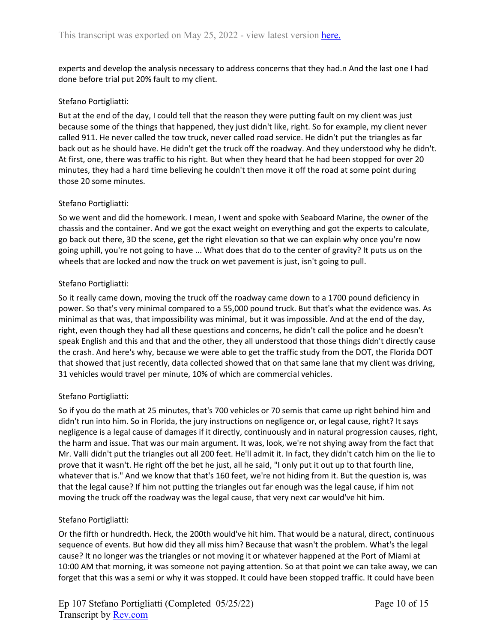experts and develop the analysis necessary to address concerns that they had.n And the last one I had done before trial put 20% fault to my client.

## Stefano Portigliatti:

But at the end of the day, I could tell that the reason they were putting fault on my client was just because some of the things that happened, they just didn't like, right. So for example, my client never called 911. He never called the tow truck, never called road service. He didn't put the triangles as far back out as he should have. He didn't get the truck off the roadway. And they understood why he didn't. At first, one, there was traffic to his right. But when they heard that he had been stopped for over 20 minutes, they had a hard time believing he couldn't then move it off the road at some point during those 20 some minutes.

## Stefano Portigliatti:

So we went and did the homework. I mean, I went and spoke with Seaboard Marine, the owner of the chassis and the container. And we got the exact weight on everything and got the experts to calculate, go back out there, 3D the scene, get the right elevation so that we can explain why once you're now going uphill, you're not going to have ... What does that do to the center of gravity? It puts us on the wheels that are locked and now the truck on wet pavement is just, isn't going to pull.

## Stefano Portigliatti:

So it really came down, moving the truck off the roadway came down to a 1700 pound deficiency in power. So that's very minimal compared to a 55,000 pound truck. But that's what the evidence was. As minimal as that was, that impossibility was minimal, but it was impossible. And at the end of the day, right, even though they had all these questions and concerns, he didn't call the police and he doesn't speak English and this and that and the other, they all understood that those things didn't directly cause the crash. And here's why, because we were able to get the traffic study from the DOT, the Florida DOT that showed that just recently, data collected showed that on that same lane that my client was driving, 31 vehicles would travel per minute, 10% of which are commercial vehicles.

## Stefano Portigliatti:

So if you do the math at 25 minutes, that's 700 vehicles or 70 semis that came up right behind him and didn't run into him. So in Florida, the jury instructions on negligence or, or legal cause, right? It says negligence is a legal cause of damages if it directly, continuously and in natural progression causes, right, the harm and issue. That was our main argument. It was, look, we're not shying away from the fact that Mr. Valli didn't put the triangles out all 200 feet. He'll admit it. In fact, they didn't catch him on the lie to prove that it wasn't. He right off the bet he just, all he said, "I only put it out up to that fourth line, whatever that is." And we know that that's 160 feet, we're not hiding from it. But the question is, was that the legal cause? If him not putting the triangles out far enough was the legal cause, if him not moving the truck off the roadway was the legal cause, that very next car would've hit him.

## Stefano Portigliatti:

Or the fifth or hundredth. Heck, the 200th would've hit him. That would be a natural, direct, continuous sequence of events. But how did they all miss him? Because that wasn't the problem. What's the legal cause? It no longer was the triangles or not moving it or whatever happened at the Port of Miami at 10:00 AM that morning, it was someone not paying attention. So at that point we can take away, we can forget that this was a semi or why it was stopped. It could have been stopped traffic. It could have been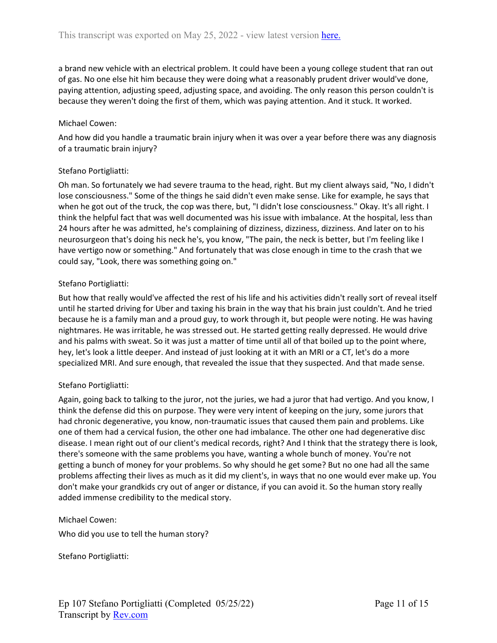a brand new vehicle with an electrical problem. It could have been a young college student that ran out of gas. No one else hit him because they were doing what a reasonably prudent driver would've done, paying attention, adjusting speed, adjusting space, and avoiding. The only reason this person couldn't is because they weren't doing the first of them, which was paying attention. And it stuck. It worked.

## Michael Cowen:

And how did you handle a traumatic brain injury when it was over a year before there was any diagnosis of a traumatic brain injury?

## Stefano Portigliatti:

Oh man. So fortunately we had severe trauma to the head, right. But my client always said, "No, I didn't lose consciousness." Some of the things he said didn't even make sense. Like for example, he says that when he got out of the truck, the cop was there, but, "I didn't lose consciousness." Okay. It's all right. I think the helpful fact that was well documented was his issue with imbalance. At the hospital, less than 24 hours after he was admitted, he's complaining of dizziness, dizziness, dizziness. And later on to his neurosurgeon that's doing his neck he's, you know, "The pain, the neck is better, but I'm feeling like I have vertigo now or something." And fortunately that was close enough in time to the crash that we could say, "Look, there was something going on."

## Stefano Portigliatti:

But how that really would've affected the rest of his life and his activities didn't really sort of reveal itself until he started driving for Uber and taxing his brain in the way that his brain just couldn't. And he tried because he is a family man and a proud guy, to work through it, but people were noting. He was having nightmares. He was irritable, he was stressed out. He started getting really depressed. He would drive and his palms with sweat. So it was just a matter of time until all of that boiled up to the point where, hey, let's look a little deeper. And instead of just looking at it with an MRI or a CT, let's do a more specialized MRI. And sure enough, that revealed the issue that they suspected. And that made sense.

## Stefano Portigliatti:

Again, going back to talking to the juror, not the juries, we had a juror that had vertigo. And you know, I think the defense did this on purpose. They were very intent of keeping on the jury, some jurors that had chronic degenerative, you know, non-traumatic issues that caused them pain and problems. Like one of them had a cervical fusion, the other one had imbalance. The other one had degenerative disc disease. I mean right out of our client's medical records, right? And I think that the strategy there is look, there's someone with the same problems you have, wanting a whole bunch of money. You're not getting a bunch of money for your problems. So why should he get some? But no one had all the same problems affecting their lives as much as it did my client's, in ways that no one would ever make up. You don't make your grandkids cry out of anger or distance, if you can avoid it. So the human story really added immense credibility to the medical story.

## Michael Cowen:

Who did you use to tell the human story?

Stefano Portigliatti: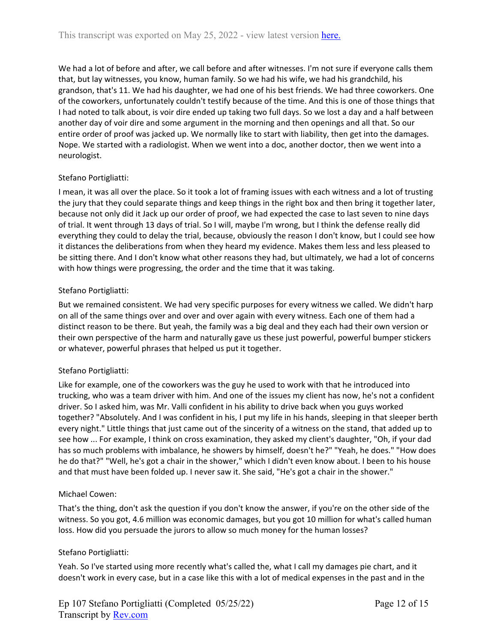We had a lot of before and after, we call before and after witnesses. I'm not sure if everyone calls them that, but lay witnesses, you know, human family. So we had his wife, we had his grandchild, his grandson, that's 11. We had his daughter, we had one of his best friends. We had three coworkers. One of the coworkers, unfortunately couldn't testify because of the time. And this is one of those things that I had noted to talk about, is voir dire ended up taking two full days. So we lost a day and a half between another day of voir dire and some argument in the morning and then openings and all that. So our entire order of proof was jacked up. We normally like to start with liability, then get into the damages. Nope. We started with a radiologist. When we went into a doc, another doctor, then we went into a neurologist.

## Stefano Portigliatti:

I mean, it was all over the place. So it took a lot of framing issues with each witness and a lot of trusting the jury that they could separate things and keep things in the right box and then bring it together later, because not only did it Jack up our order of proof, we had expected the case to last seven to nine days of trial. It went through 13 days of trial. So I will, maybe I'm wrong, but I think the defense really did everything they could to delay the trial, because, obviously the reason I don't know, but I could see how it distances the deliberations from when they heard my evidence. Makes them less and less pleased to be sitting there. And I don't know what other reasons they had, but ultimately, we had a lot of concerns with how things were progressing, the order and the time that it was taking.

## Stefano Portigliatti:

But we remained consistent. We had very specific purposes for every witness we called. We didn't harp on all of the same things over and over and over again with every witness. Each one of them had a distinct reason to be there. But yeah, the family was a big deal and they each had their own version or their own perspective of the harm and naturally gave us these just powerful, powerful bumper stickers or whatever, powerful phrases that helped us put it together.

# Stefano Portigliatti:

Like for example, one of the coworkers was the guy he used to work with that he introduced into trucking, who was a team driver with him. And one of the issues my client has now, he's not a confident driver. So I asked him, was Mr. Valli confident in his ability to drive back when you guys worked together? "Absolutely. And I was confident in his, I put my life in his hands, sleeping in that sleeper berth every night." Little things that just came out of the sincerity of a witness on the stand, that added up to see how ... For example, I think on cross examination, they asked my client's daughter, "Oh, if your dad has so much problems with imbalance, he showers by himself, doesn't he?" "Yeah, he does." "How does he do that?" "Well, he's got a chair in the shower," which I didn't even know about. I been to his house and that must have been folded up. I never saw it. She said, "He's got a chair in the shower."

## Michael Cowen:

That's the thing, don't ask the question if you don't know the answer, if you're on the other side of the witness. So you got, 4.6 million was economic damages, but you got 10 million for what's called human loss. How did you persuade the jurors to allow so much money for the human losses?

## Stefano Portigliatti:

Yeah. So I've started using more recently what's called the, what I call my damages pie chart, and it doesn't work in every case, but in a case like this with a lot of medical expenses in the past and in the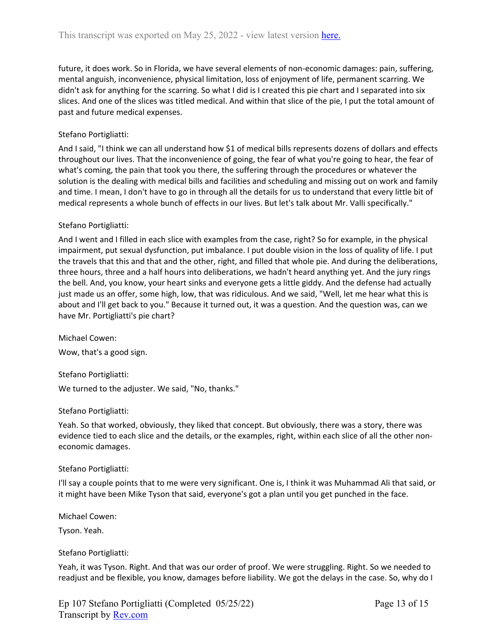future, it does work. So in Florida, we have several elements of non-economic damages: pain, suffering, mental anguish, inconvenience, physical limitation, loss of enjoyment of life, permanent scarring. We didn't ask for anything for the scarring. So what I did is I created this pie chart and I separated into six slices. And one of the slices was titled medical. And within that slice of the pie, I put the total amount of past and future medical expenses.

## Stefano Portigliatti:

And I said, "I think we can all understand how \$1 of medical bills represents dozens of dollars and effects throughout our lives. That the inconvenience of going, the fear of what you're going to hear, the fear of what's coming, the pain that took you there, the suffering through the procedures or whatever the solution is the dealing with medical bills and facilities and scheduling and missing out on work and family and time. I mean, I don't have to go in through all the details for us to understand that every little bit of medical represents a whole bunch of effects in our lives. But let's talk about Mr. Valli specifically."

## Stefano Portigliatti:

And I went and I filled in each slice with examples from the case, right? So for example, in the physical impairment, put sexual dysfunction, put imbalance. I put double vision in the loss of quality of life. I put the travels that this and that and the other, right, and filled that whole pie. And during the deliberations, three hours, three and a half hours into deliberations, we hadn't heard anything yet. And the jury rings the bell. And, you know, your heart sinks and everyone gets a little giddy. And the defense had actually just made us an offer, some high, low, that was ridiculous. And we said, "Well, let me hear what this is about and I'll get back to you." Because it turned out, it was a question. And the question was, can we have Mr. Portigliatti's pie chart?

Michael Cowen:

Wow, that's a good sign.

Stefano Portigliatti: We turned to the adjuster. We said, "No, thanks."

## Stefano Portigliatti:

Yeah. So that worked, obviously, they liked that concept. But obviously, there was a story, there was evidence tied to each slice and the details, or the examples, right, within each slice of all the other noneconomic damages.

## Stefano Portigliatti:

I'll say a couple points that to me were very significant. One is, I think it was Muhammad Ali that said, or it might have been Mike Tyson that said, everyone's got a plan until you get punched in the face.

Michael Cowen:

Tyson. Yeah.

## Stefano Portigliatti:

Yeah, it was Tyson. Right. And that was our order of proof. We were struggling. Right. So we needed to readjust and be flexible, you know, damages before liability. We got the delays in the case. So, why do I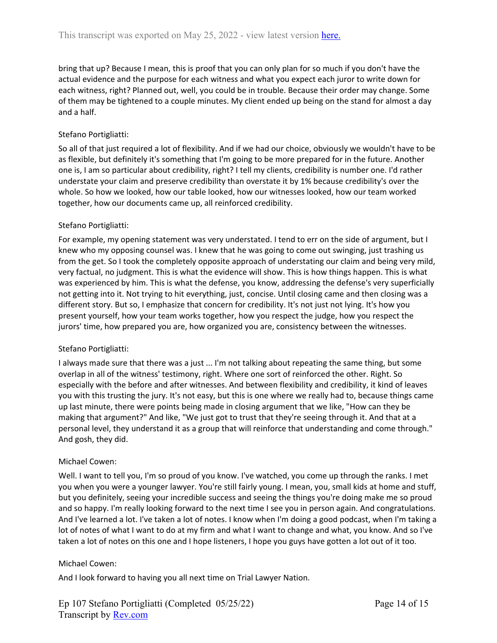bring that up? Because I mean, this is proof that you can only plan for so much if you don't have the actual evidence and the purpose for each witness and what you expect each juror to write down for each witness, right? Planned out, well, you could be in trouble. Because their order may change. Some of them may be tightened to a couple minutes. My client ended up being on the stand for almost a day and a half.

## Stefano Portigliatti:

So all of that just required a lot of flexibility. And if we had our choice, obviously we wouldn't have to be as flexible, but definitely it's something that I'm going to be more prepared for in the future. Another one is, I am so particular about credibility, right? I tell my clients, credibility is number one. I'd rather understate your claim and preserve credibility than overstate it by 1% because credibility's over the whole. So how we looked, how our table looked, how our witnesses looked, how our team worked together, how our documents came up, all reinforced credibility.

## Stefano Portigliatti:

For example, my opening statement was very understated. I tend to err on the side of argument, but I knew who my opposing counsel was. I knew that he was going to come out swinging, just trashing us from the get. So I took the completely opposite approach of understating our claim and being very mild, very factual, no judgment. This is what the evidence will show. This is how things happen. This is what was experienced by him. This is what the defense, you know, addressing the defense's very superficially not getting into it. Not trying to hit everything, just, concise. Until closing came and then closing was a different story. But so, I emphasize that concern for credibility. It's not just not lying. It's how you present yourself, how your team works together, how you respect the judge, how you respect the jurors' time, how prepared you are, how organized you are, consistency between the witnesses.

## Stefano Portigliatti:

I always made sure that there was a just ... I'm not talking about repeating the same thing, but some overlap in all of the witness' testimony, right. Where one sort of reinforced the other. Right. So especially with the before and after witnesses. And between flexibility and credibility, it kind of leaves you with this trusting the jury. It's not easy, but this is one where we really had to, because things came up last minute, there were points being made in closing argument that we like, "How can they be making that argument?" And like, "We just got to trust that they're seeing through it. And that at a personal level, they understand it as a group that will reinforce that understanding and come through." And gosh, they did.

## Michael Cowen:

Well. I want to tell you, I'm so proud of you know. I've watched, you come up through the ranks. I met you when you were a younger lawyer. You're still fairly young. I mean, you, small kids at home and stuff, but you definitely, seeing your incredible success and seeing the things you're doing make me so proud and so happy. I'm really looking forward to the next time I see you in person again. And congratulations. And I've learned a lot. I've taken a lot of notes. I know when I'm doing a good podcast, when I'm taking a lot of notes of what I want to do at my firm and what I want to change and what, you know. And so I've taken a lot of notes on this one and I hope listeners, I hope you guys have gotten a lot out of it too.

## Michael Cowen:

And I look forward to having you all next time on Trial Lawyer Nation.